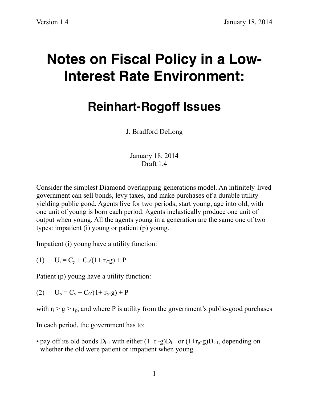## **Notes on Fiscal Policy in a Low-Interest Rate Environment:**

## **Reinhart-Rogoff Issues**

J. Bradford DeLong

January 18, 2014 Draft 1.4

Consider the simplest Diamond overlapping-generations model. An infinitely-lived government can sell bonds, levy taxes, and make purchases of a durable utilityyielding public good. Agents live for two periods, start young, age into old, with one unit of young is born each period. Agents inelastically produce one unit of output when young. All the agents young in a generation are the same one of two types: impatient (i) young or patient (p) young.

Impatient (i) young have a utility function:

(1)  $U_i = C_v + C_0/(1+r_i-g) + P$ 

Patient (p) young have a utility function:

(2)  $U_p = C_v + C_0/(1+r_p-g) + P$ 

with  $r_i > g > r_p$ , and where P is utility from the government's public-good purchases

In each period, the government has to:

• pay off its old bonds  $D_{t-1}$  with either  $(1+r_i-g)D_{t-1}$  or  $(1+r_i-g)D_{t-1}$ , depending on whether the old were patient or impatient when young.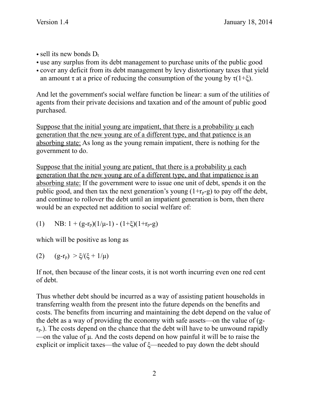- sell its new bonds  $D_t$
- use any surplus from its debt management to purchase units of the public good
- cover any deficit from its debt management by levy distortionary taxes that yield an amount  $\tau$  at a price of reducing the consumption of the young by  $\tau(1+\xi)$ .

And let the government's social welfare function be linear: a sum of the utilities of agents from their private decisions and taxation and of the amount of public good purchased.

Suppose that the initial young are impatient, that there is a probability  $\mu$  each generation that the new young are of a different type, and that patience is an absorbing state: As long as the young remain impatient, there is nothing for the government to do.

Suppose that the initial young are patient, that there is a probability  $\mu$  each generation that the new young are of a different type, and that impatience is an absorbing state: If the government were to issue one unit of debt, spends it on the public good, and then tax the next generation's young  $(1+r_p-g)$  to pay off the debt, and continue to rollover the debt until an impatient generation is born, then there would be an expected net addition to social welfare of:

(1) NB:  $1 + (g-r_p)(1/\mu-1) - (1+\xi)(1+r_p-g)$ 

which will be positive as long as

(2)  $(g-r_p) > \xi/(\xi + 1/\mu)$ 

If not, then because of the linear costs, it is not worth incurring even one red cent of debt.

Thus whether debt should be incurred as a way of assisting patient households in transferring wealth from the present into the future depends on the benefits and costs. The benefits from incurring and maintaining the debt depend on the value of the debt as a way of providing the economy with safe assets—on the value of (g $r<sub>p</sub>$ ). The costs depend on the chance that the debt will have to be unwound rapidly —on the value of  $\mu$ . And the costs depend on how painful it will be to raise the explicit or implicit taxes—the value of ξ—needed to pay down the debt should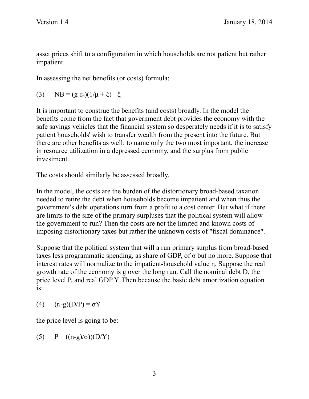asset prices shift to a configuration in which households are not patient but rather impatient.

In assessing the net benefits (or costs) formula:

(3) NB = 
$$
(g-r_p)(1/\mu + \xi) - \xi
$$

It is important to construe the benefits (and costs) broadly. In the model the benefits come from the fact that government debt provides the economy with the safe savings vehicles that the financial system so desperately needs if it is to satisfy patient households' wish to transfer wealth from the present into the future. But there are other benefits as well: to name only the two most important, the increase in resource utilization in a depressed economy, and the surplus from public investment.

The costs should similarly be assessed broadly.

In the model, the costs are the burden of the distortionary broad-based taxation needed to retire the debt when households become impatient and when thus the government's debt operations turn from a profit to a cost center. But what if there are limits to the size of the primary surpluses that the political system will allow the government to run? Then the costs are not the limited and known costs of imposing distortionary taxes but rather the unknown costs of "fiscal dominance".

Suppose that the political system that will a run primary surplus from broad-based taxes less programmatic spending, as share of GDP, of  $\sigma$  but no more. Suppose that interest rates will normalize to the impatient-household value ri. Suppose the real growth rate of the economy is g over the long run. Call the nominal debt D, the price level P, and real GDP Y. Then because the basic debt amortization equation is:

$$
(4) \qquad (r_i-g)(D/P) = \sigma Y
$$

the price level is going to be:

(5)  $P = ((r_i-g)/σ))(D/Y)$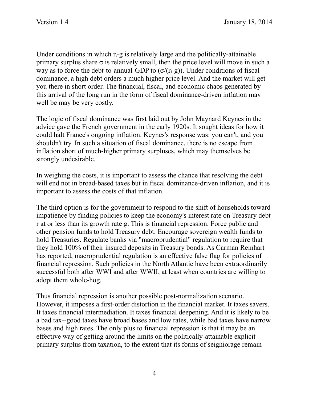Under conditions in which  $r_i-g$  is relatively large and the politically-attainable primary surplus share  $\sigma$  is relatively small, then the price level will move in such a way as to force the debt-to-annual-GDP to  $(\sigma/(r_i-g))$ . Under conditions of fiscal dominance, a high debt orders a much higher price level. And the market will get you there in short order. The financial, fiscal, and economic chaos generated by this arrival of the long run in the form of fiscal dominance-driven inflation may well be may be very costly.

The logic of fiscal dominance was first laid out by John Maynard Keynes in the advice gave the French government in the early 1920s. It sought ideas for how it could halt France's ongoing inflation. Keynes's response was: you can't, and you shouldn't try. In such a situation of fiscal dominance, there is no escape from inflation short of much-higher primary surpluses, which may themselves be strongly undesirable.

In weighing the costs, it is important to assess the chance that resolving the debt will end not in broad-based taxes but in fiscal dominance-driven inflation, and it is important to assess the costs of that inflation.

The third option is for the government to respond to the shift of households toward impatience by finding policies to keep the economy's interest rate on Treasury debt r at or less than its growth rate g. This is financial repression. Force public and other pension funds to hold Treasury debt. Encourage sovereign wealth funds to hold Treasuries. Regulate banks via "macroprudential" regulation to require that they hold 100% of their insured deposits in Treasury bonds. As Carman Reinhart has reported, macroprudential regulation is an effective false flag for policies of financial repression. Such policies in the North Atlantic have been extraordinarily successful both after WWI and after WWII, at least when countries are willing to adopt them whole-hog.

Thus financial repression is another possible post-normalization scenario. However, it imposes a first-order distortion in the financial market. It taxes savers. It taxes financial intermediation. It taxes financial deepening. And it is likely to be a bad tax--good taxes have broad bases and low rates, while bad taxes have narrow bases and high rates. The only plus to financial repression is that it may be an effective way of getting around the limits on the politically-attainable explicit primary surplus from taxation, to the extent that its forms of seigniorage remain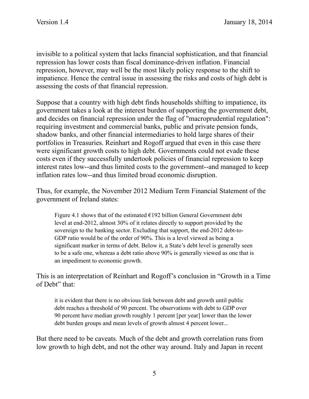invisible to a political system that lacks financial sophistication, and that financial repression has lower costs than fiscal dominance-driven inflation. Financial repression, however, may well be the most likely policy response to the shift to impatience. Hence the central issue in assessing the risks and costs of high debt is assessing the costs of that financial repression.

Suppose that a country with high debt finds households shifting to impatience, its government takes a look at the interest burden of supporting the government debt, and decides on financial repression under the flag of "macroprudential regulation": requiring investment and commercial banks, public and private pension funds, shadow banks, and other financial intermediaries to hold large shares of their portfolios in Treasuries. Reinhart and Rogoff argued that even in this case there were significant growth costs to high debt. Governments could not evade these costs even if they successfully undertook policies of financial repression to keep interest rates low--and thus limited costs to the government--and managed to keep inflation rates low--and thus limited broad economic disruption.

Thus, for example, the November 2012 Medium Term Financial Statement of the government of Ireland states:

Figure 4.1 shows that of the estimated  $E192$  billion General Government debt level at end-2012, almost 30% of it relates directly to support provided by the sovereign to the banking sector. Excluding that support, the end-2012 debt-to-GDP ratio would be of the order of 90%. This is a level viewed as being a significant marker in terms of debt. Below it, a State's debt level is generally seen to be a safe one, whereas a debt ratio above 90% is generally viewed as one that is an impediment to economic growth.

This is an interpretation of Reinhart and Rogoff's conclusion in "Growth in a Time of Debt" that:

it is evident that there is no obvious link between debt and growth until public debt reaches a threshold of 90 percent. The observations with debt to GDP over 90 percent have median growth roughly 1 percent [per year] lower than the lower debt burden groups and mean levels of growth almost 4 percent lower...

But there need to be caveats. Much of the debt and growth correlation runs from low growth to high debt, and not the other way around. Italy and Japan in recent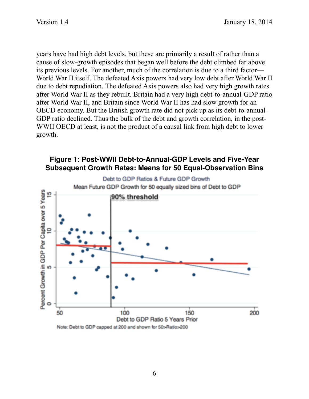years have had high debt levels, but these are primarily a result of rather than a cause of slow-growth episodes that began well before the debt climbed far above its previous levels. For another, much of the correlation is due to a third factor— World War II itself. The defeated Axis powers had very low debt after World War II due to debt repudiation. The defeated Axis powers also had very high growth rates after World War II as they rebuilt. Britain had a very high debt-to-annual-GDP ratio after World War II, and Britain since World War II has had slow growth for an OECD economy. But the British growth rate did not pick up as its debt-to-annual-GDP ratio declined. Thus the bulk of the debt and growth correlation, in the post-WWII OECD at least, is not the product of a causal link from high debt to lower growth.